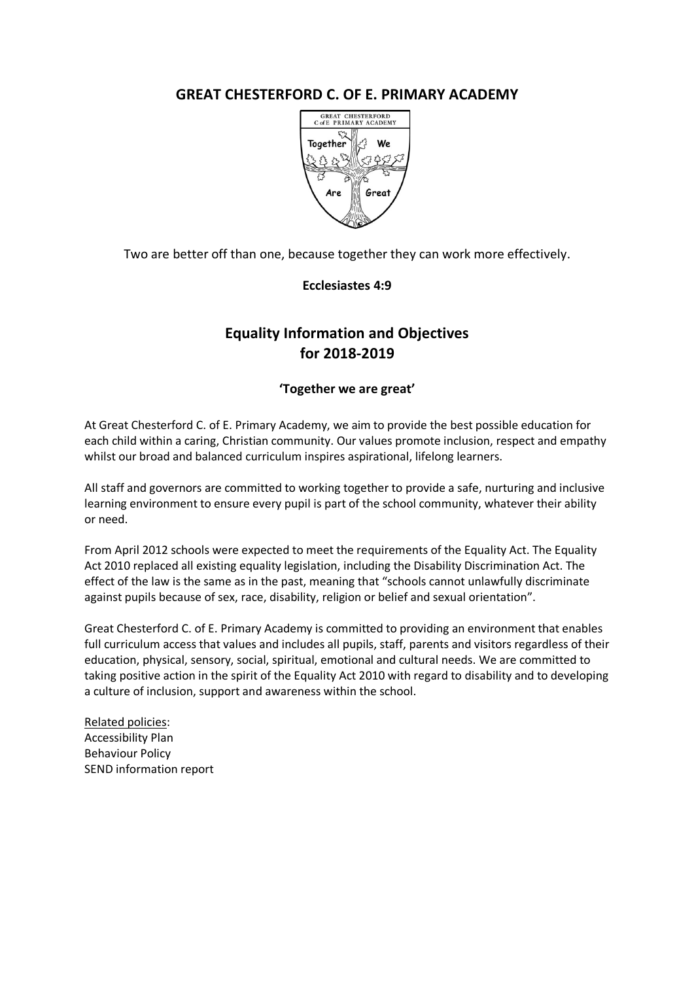# **GREAT CHESTERFORD C. OF E. PRIMARY ACADEMY**



Two are better off than one, because together they can work more effectively.

## **Ecclesiastes 4:9**

# **Equality Information and Objectives for 2018-2019**

## **'Together we are great'**

At Great Chesterford C. of E. Primary Academy, we aim to provide the best possible education for each child within a caring, Christian community. Our values promote inclusion, respect and empathy whilst our broad and balanced curriculum inspires aspirational, lifelong learners.

All staff and governors are committed to working together to provide a safe, nurturing and inclusive learning environment to ensure every pupil is part of the school community, whatever their ability or need.

From April 2012 schools were expected to meet the requirements of the Equality Act. The Equality Act 2010 replaced all existing equality legislation, including the Disability Discrimination Act. The effect of the law is the same as in the past, meaning that "schools cannot unlawfully discriminate against pupils because of sex, race, disability, religion or belief and sexual orientation".

Great Chesterford C. of E. Primary Academy is committed to providing an environment that enables full curriculum access that values and includes all pupils, staff, parents and visitors regardless of their education, physical, sensory, social, spiritual, emotional and cultural needs. We are committed to taking positive action in the spirit of the Equality Act 2010 with regard to disability and to developing a culture of inclusion, support and awareness within the school.

Related policies: Accessibility Plan Behaviour Policy SEND information report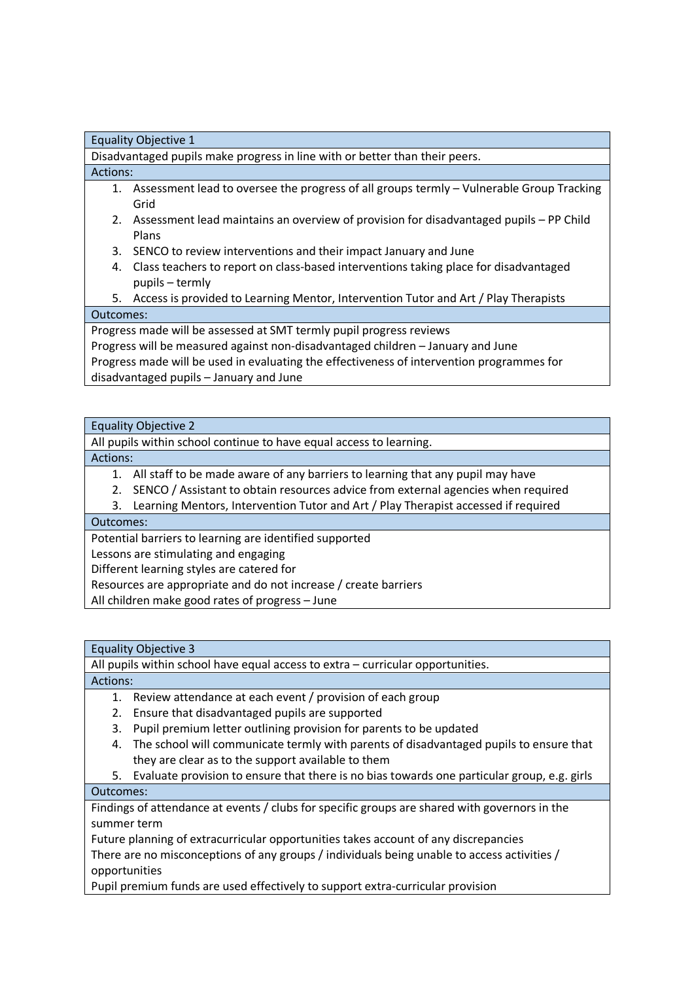| Disadvantaged pupils make progress in line with or better than their peers.                    |
|------------------------------------------------------------------------------------------------|
| Actions:                                                                                       |
| Assessment lead to oversee the progress of all groups termly - Vulnerable Group Tracking<br>1. |
| Grid                                                                                           |
| Assessment lead maintains an overview of provision for disadvantaged pupils - PP Child<br>2.   |
| Plans                                                                                          |
| SENCO to review interventions and their impact January and June<br>3.                          |
| Class teachers to report on class-based interventions taking place for disadvantaged<br>4.     |
| pupils – termly                                                                                |
| Access is provided to Learning Mentor, Intervention Tutor and Art / Play Therapists<br>5.      |
| Outcomes:                                                                                      |

Progress made will be assessed at SMT termly pupil progress reviews

Progress will be measured against non-disadvantaged children – January and June

Progress made will be used in evaluating the effectiveness of intervention programmes for disadvantaged pupils – January and June

### Equality Objective 2

Equality Objective 1

All pupils within school continue to have equal access to learning.

### Actions:

1. All staff to be made aware of any barriers to learning that any pupil may have

2. SENCO / Assistant to obtain resources advice from external agencies when required

3. Learning Mentors, Intervention Tutor and Art / Play Therapist accessed if required

# Outcomes:

Potential barriers to learning are identified supported

Lessons are stimulating and engaging

Different learning styles are catered for

Resources are appropriate and do not increase / create barriers

All children make good rates of progress – June

# Equality Objective 3

All pupils within school have equal access to extra – curricular opportunities.

Actions:

- 1. Review attendance at each event / provision of each group
- 2. Ensure that disadvantaged pupils are supported
- 3. Pupil premium letter outlining provision for parents to be updated
- 4. The school will communicate termly with parents of disadvantaged pupils to ensure that they are clear as to the support available to them

5. Evaluate provision to ensure that there is no bias towards one particular group, e.g. girls

### Outcomes:

Findings of attendance at events / clubs for specific groups are shared with governors in the summer term

Future planning of extracurricular opportunities takes account of any discrepancies There are no misconceptions of any groups / individuals being unable to access activities / opportunities

Pupil premium funds are used effectively to support extra-curricular provision